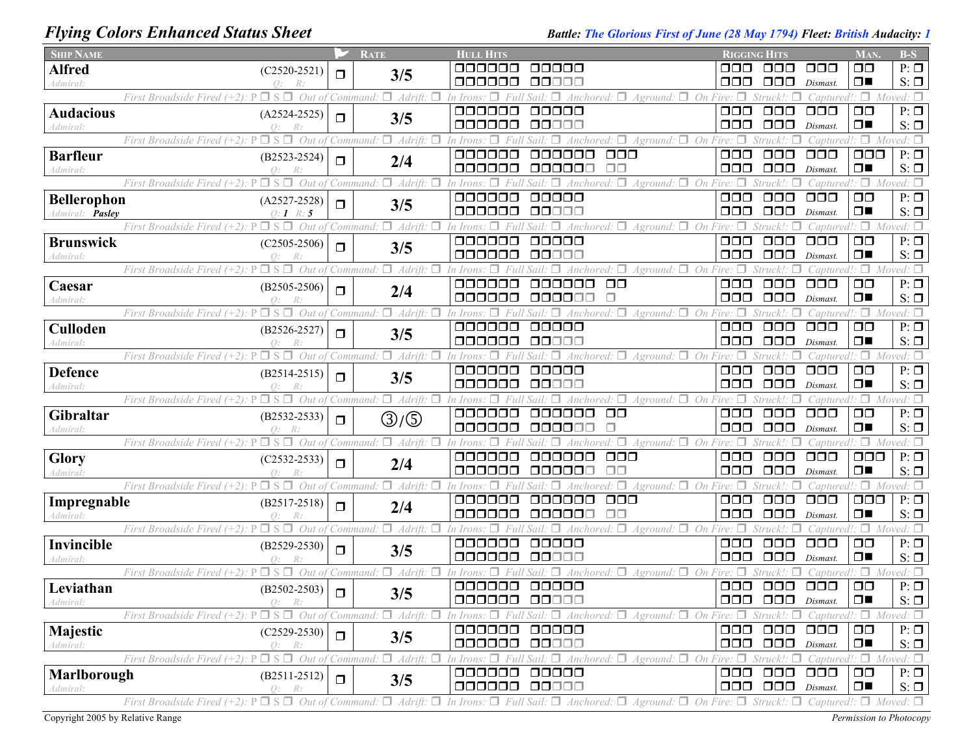## *Flying Colors Enhanced Status Sheet Battle: The Glorious First of June (28 May 1794) Fleet: British Audacity: 1*

| <b>SHIP NAME</b>             |                                                                                                                                                                                                                       |        | <b>RATE</b>                                           | <b>HULL HITS</b> |                                                                                                                                        | <b>RIGGING HITS</b>               |                                                         |                                                 | MAN.                                  | $B-S$                         |
|------------------------------|-----------------------------------------------------------------------------------------------------------------------------------------------------------------------------------------------------------------------|--------|-------------------------------------------------------|------------------|----------------------------------------------------------------------------------------------------------------------------------------|-----------------------------------|---------------------------------------------------------|-------------------------------------------------|---------------------------------------|-------------------------------|
| <b>Alfred</b>                | $(C2520-2521)$                                                                                                                                                                                                        | $\Box$ | 3/5                                                   | ananan           | 00000                                                                                                                                  | ⊓⊓⊓                               | ⊓⊓⊓                                                     | 000                                             | $\Box$ $\Box$                         | $P: \Box$                     |
| Admiral:                     |                                                                                                                                                                                                                       |        |                                                       | aaaaaa           | 00000                                                                                                                                  | □□□                               | 000                                                     | Dismast.                                        | $\Box$                                | $S: \Box$                     |
|                              | Out of<br>First Broadside Fired                                                                                                                                                                                       |        | Adrift:<br>Command                                    | 000000           | On Fire:<br>Anchored: □<br>Aground:<br>00000                                                                                           | $\Box$ $\Box$                     | $\Box$ $\Box$                                           | : aptured:                                      | $\Box$ Moved: $\Box$<br>$\Box$ $\Box$ | $P: \Box$                     |
| <b>Audacious</b><br>Admiral: | $(A2524-2525)$<br>Q:<br>R:                                                                                                                                                                                            | $\Box$ | 3/5                                                   | 000000           | $\Box \Box \Box \Box \Box$                                                                                                             | $\Box$ $\Box$                     | $\Box \Box \Box$                                        | $\Box$ $\Box$<br>Dismast.                       | $\Box$                                | $S: \Box$                     |
|                              | Out of<br>$\Box$ S $\Box$<br>First Broadside Fired $(+2)$ .                                                                                                                                                           |        | п.<br>Adrift:<br>Command                              |                  | п<br>Aground:                                                                                                                          | On Fire: $\Box$                   |                                                         | Captured!                                       | $\Box$ Moved: $\Box$                  |                               |
| <b>Barfleur</b>              | $(B2523 - 2524)$                                                                                                                                                                                                      |        |                                                       | 000000           | $\Box \Box \Box$<br>800000                                                                                                             | $\Box$ $\Box$                     | $\Box$ $\Box$                                           | $\Box$ $\Box$ $\Box$                            | $\Box$ $\Box$                         | $P: \Box$                     |
| Admiral:                     |                                                                                                                                                                                                                       | $\Box$ | 2/4                                                   | 000000           | 000000<br>$\Box$ Box                                                                                                                   | OOO                               | $\Box$ $\Box$                                           | Dismast.                                        | $\Box$                                | $S: \Box$                     |
|                              | $\square$ S $\square$<br>Out of<br>First Broadside Fired (+2):<br>P                                                                                                                                                   |        | Adrift:<br>Command                                    |                  | Aground: □ On<br>Anchored:                                                                                                             | Fire: $\Box$                      |                                                         | Captured!                                       | $\Box$ Moved: $\Box$                  |                               |
| <b>Bellerophon</b>           | $(A2527-2528)$                                                                                                                                                                                                        | $\Box$ | 3/5                                                   | 000000           | 00000                                                                                                                                  | $\Box$ $\Box$                     | $\Box \Box \Box$                                        | $\Box$ $\Box$                                   | $\Box$ $\Box$                         | $P: \Box$                     |
| Admiral: Pasley              | $O: I \ R: 5$                                                                                                                                                                                                         |        |                                                       | 000000           | 00000                                                                                                                                  | OOO                               | $\Box$ $\Box$                                           | Dismast.                                        | $\Box$                                | $S: \Box$                     |
|                              | First Broadside Fired $(+2)$ :<br>$\square$ S<br>Out                                                                                                                                                                  |        | Adrift:<br>Command                                    |                  | On<br>Aground:<br>Anchored.                                                                                                            |                                   |                                                         | 'aptured                                        | $\Box$                                | Moved: $\square$              |
| <b>Brunswick</b>             | $(C2505-2506)$                                                                                                                                                                                                        | $\Box$ | 3/5                                                   | 000000           | 00000                                                                                                                                  | $\Box$ $\Box$                     | 000                                                     | 000                                             | $\Box$ $\Box$                         | $P: \Box$                     |
| Admiral:                     | $\Omega$ :                                                                                                                                                                                                            |        | п                                                     | 000000           | 00000<br>On                                                                                                                            | 888                               | $\Box$ $\Box$                                           | Dismast.                                        | $\Box$<br>$\Box$                      | $S: \Box$                     |
|                              | Out of<br>$\Box$ S $\Box$<br>First Broadside Fired $(+2)$ : P                                                                                                                                                         |        | Adrift:<br>Command:                                   | 000000           | $A$ ground: $\Box$<br>$\Box$ $\Box$<br>000000                                                                                          | 000                               | $\Box$ $\Box$                                           | 'antured!<br>$\Box$ $\Box$                      | $\Box$ $\Box$                         | Moved: $\square$<br>$P: \Box$ |
| Caesar<br>Admiral:           | $(B2505 - 2506)$                                                                                                                                                                                                      | $\Box$ | 2/4                                                   | 000000           | 000000                                                                                                                                 | □□□                               | $\Box$ $\Box$                                           | Dismast.                                        | $\Box$                                | $S: \Box$                     |
|                              | Out<br>First Broadside Fired                                                                                                                                                                                          |        | Adrift:<br>Command                                    |                  | Aground: $\Box$<br>On                                                                                                                  |                                   |                                                         | 'apturec                                        | $\Box$                                | Moved: $\Box$                 |
| Culloden                     | $(B2526 - 2527)$                                                                                                                                                                                                      |        |                                                       | 000000           | 00000                                                                                                                                  | $\Box$ $\Box$                     | $\Box \Box \Box$                                        | $\Box$ $\Box$                                   | $\Box$ $\Box$                         | $P: \Box$                     |
| Admiral:                     | $\Omega$ :                                                                                                                                                                                                            | $\Box$ | 3/5                                                   | 000000           | QQQ00                                                                                                                                  | 000                               | $\Box$ $\Box$                                           | Dismast                                         | $\Box$                                | $S: \Box$                     |
|                              | Out<br>First Broadside Fired                                                                                                                                                                                          |        | Adrift:<br>Command                                    |                  | On<br>4nchored:<br>Aground:                                                                                                            |                                   |                                                         | `antui                                          | $\Box$                                | ≀ed: □                        |
| <b>Defence</b>               | $(B2514-2515)$                                                                                                                                                                                                        | $\Box$ | 3/5                                                   | 000000           | 00000                                                                                                                                  | $\Box$ $\Box$                     | $\Box \Box \Box$                                        | $\Box \Box \Box$                                | $\Box$ $\Box$                         | $P: \Box$                     |
| Admiral:                     |                                                                                                                                                                                                                       |        |                                                       | 000000           | 00000                                                                                                                                  | 000                               | $\Box$ $\Box$                                           | Dismast.                                        | $\Box$                                | $S: \Box$                     |
|                              | Out<br>$\Box$ S<br>First Broadside Fired $(+2)$ .                                                                                                                                                                     |        | п.<br>Adrift.<br>Command.                             |                  | $Aground:$ $\Box$ On Fire:                                                                                                             |                                   |                                                         | Captured!                                       | $\Box$                                | Moved: $\square$              |
| Gibraltar                    | $(B2532 - 2533)$                                                                                                                                                                                                      | $\Box$ | ③/⑤                                                   | 000000<br>000000 | $\Box$ Box<br>000000<br>000000<br>$\Box$                                                                                               | $\Box$ $\Box$<br>$\Box$ $\Box$    | $\Box$ $\Box$<br>$\Box$ $\Box$                          | $\Box$ $\Box$<br>Dismast.                       | $\Box$ $\Box$<br>$\Box$               | $P: \Box$<br>$S: \Box$        |
| Admiral:                     | Out of<br>$\Box$ S<br>First Broadside Fired $(+2)$ .                                                                                                                                                                  |        | $\Box$ Adrift:<br>Command.                            |                  | $A$ ground: $\Box$ On Fire: $\Box$<br>п.                                                                                               |                                   | Struck!:                                                | Captured!                                       |                                       | $\Box$ Moved: $\Box$          |
| Glory                        | $(C2532 - 2533)$                                                                                                                                                                                                      |        |                                                       | 000000           | $\Box$ $\Box$<br>000000                                                                                                                | $\Box$ $\Box$                     | $\Box$ $\Box$                                           | $\Box$ $\Box$ $\Box$                            | $\Box$ $\Box$                         | $P: \Box$                     |
| Admiral:                     | $\Omega$ :                                                                                                                                                                                                            | $\Box$ | 2/4                                                   | 000000           | $\Box \Box$<br>000000                                                                                                                  | $\Box$ $\Box$                     | $\Box$ $\Box$                                           | Dismast.                                        | $\Box$                                | $S: \Box$                     |
|                              | $\Box$ s<br>Out<br>First Broadside Fired $(+2)$ :                                                                                                                                                                     |        | Adrift:<br>Command                                    |                  | On<br>$4$ ground: $\Box$                                                                                                               |                                   |                                                         | 'aptured                                        | п                                     |                               |
| Impregnable                  | $(B2517 - 2518)$                                                                                                                                                                                                      | $\Box$ | 2/4                                                   | 000000           | $\Box$ $\Box$<br>aaaaaa                                                                                                                | $\Box$ $\Box$                     | $\Box \Box \Box$                                        | $\Box$ $\Box$                                   | $\Box$ $\Box$                         | $P: \Box$                     |
| Admiral:                     | Q:                                                                                                                                                                                                                    |        |                                                       | 888888           | ПП<br>oooooo                                                                                                                           | $\Box \Box \Box$                  | 000                                                     | Dismast.                                        | $\Box$                                | $S: \Box$                     |
|                              | First Broadside Fired $(+2)$ :<br>⊐ S.<br>Out                                                                                                                                                                         |        | Adrift:<br>Command.                                   |                  | Anchored: $\Box$<br>$A$ ground: $\Box$ On                                                                                              |                                   |                                                         | `aptured                                        | π.                                    | Moved: $\square$              |
| Invincible                   | $(B2529 - 2530)$                                                                                                                                                                                                      | $\Box$ | 3/5                                                   | 000000<br>000000 | 00000<br><b>OOOOO</b>                                                                                                                  | $\Box$ $\Box$<br>$\Box \Box \Box$ | $\Box \Box \Box$                                        | $\Box$ $\Box$ $\Box$                            | $\Box$ $\Box$<br>$\Box$               | $P: \Box$                     |
| Admiral:                     | $\Omega$ :<br>First Broadside Fired $(+2)$ :<br>$\square$ S<br>п<br>Out of                                                                                                                                            |        | п.<br>Adrift: $\Box$<br>Command <sup>.</sup>          |                  | Anchored: $\Box$ Aground: $\Box$ On                                                                                                    |                                   | $\Box$ $\Box$                                           | Dismast.                                        | Π.                                    | $S: \Box$<br>Moved: $\square$ |
| Leviathan                    |                                                                                                                                                                                                                       |        |                                                       | 000000           | 00000                                                                                                                                  | $\Box$ $\Box$                     | $\Box$ $\Box$                                           | $\Box$ $\Box$                                   | $\square$                             | $P: \Box$                     |
| Admiral:                     | $(B2502 - 2503)$<br>0:<br>R:                                                                                                                                                                                          | $\Box$ | 3/5                                                   | 000000 00000     |                                                                                                                                        |                                   | $\Box$ $\Box$ $\Box$ $\Box$ $Dismast$ .                 |                                                 | $\Box$                                | $S: \Box$                     |
|                              | First Broadside Fired $(+2)$ : P                                                                                                                                                                                      |        | $\Box$ S $\Box$ Out of Command: $\Box$ Adrift: $\Box$ |                  | Aground: $\Box$ On Fire: $\Box$ Struck!: $\Box$ Captured!: $\Box$ Moved: $\Box$<br>In Irons: $\Box$ Full Sail: $\Box$ Anchored: $\Box$ |                                   |                                                         |                                                 |                                       |                               |
| Majestic                     | $(C2529-2530)$                                                                                                                                                                                                        | $\Box$ |                                                       | 000000           | 00000                                                                                                                                  |                                   | 000 000 000                                             |                                                 | $\Box$                                | $P: \Box$                     |
| Admiral:                     | Q: R:                                                                                                                                                                                                                 |        | 3/5                                                   | 000000 00000     |                                                                                                                                        |                                   | $\Box$ $\Box$ $\Box$ $\Box$ $\Box$ $\Box$ $\Box$        |                                                 | $\Box$                                | $S: \Box$                     |
|                              | $\Box S \Box$ Out of Command<br>First Broadside Fired $(+2)$ : P                                                                                                                                                      |        | $\Box$ Adrift: $\Box$                                 |                  | In Irons: $\Box$ Full Sail: $\Box$ Anchored: $\Box$<br>$A$ ground: $\Box$ On Fire: $\Box$                                              |                                   |                                                         | Struck!: $\Box$ Captured!: $\Box$ Moved: $\Box$ |                                       |                               |
| Marlborough                  | $(B2511-2512)$                                                                                                                                                                                                        | $\Box$ | 3/5                                                   | 000000           | 00000                                                                                                                                  |                                   | 000 000 000                                             |                                                 | $\Box$ $\Box$                         | $P: \Box$                     |
| Admiral:                     | 0:<br>R:                                                                                                                                                                                                              |        |                                                       | 000000           | 00000                                                                                                                                  |                                   | $\Box$ $\Box$ $\Box$ $\Box$ $\Box$ $\Box$ $\Box$ $\Box$ |                                                 | $\Box$                                | $S: \Box$                     |
|                              | First Broadside Fired (+2): $P \Box S \Box$ Out of Command: $\Box$ Adrift: $\Box$ In Irons: $\Box$ Full Sail: $\Box$ Anchored: $\Box$ Aground: $\Box$ On Fire: $\Box$ Struck!: $\Box$ Captured!: $\Box$ Moved: $\Box$ |        |                                                       |                  |                                                                                                                                        |                                   |                                                         |                                                 |                                       |                               |